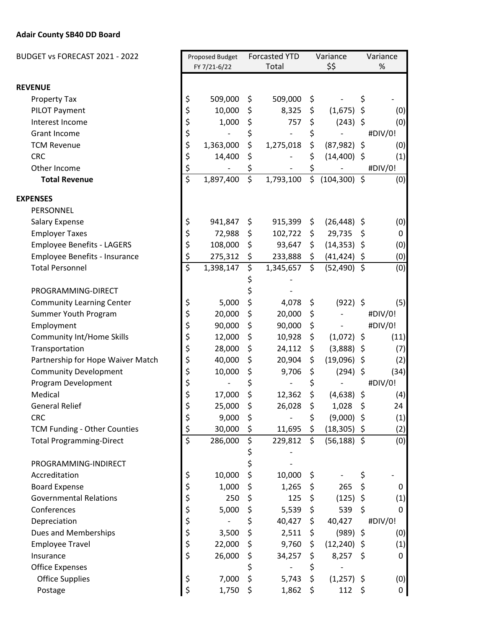## **Adair County SB40 DD Board**

| BUDGET vs FORECAST 2021 - 2022    |                         | Proposed Budget |    | <b>Forcasted YTD</b>     |                     | Variance        |    | Variance |  |
|-----------------------------------|-------------------------|-----------------|----|--------------------------|---------------------|-----------------|----|----------|--|
|                                   |                         | FY 7/21-6/22    |    | Total                    |                     | \$\$            |    | $\%$     |  |
| <b>REVENUE</b>                    |                         |                 |    |                          |                     |                 |    |          |  |
| <b>Property Tax</b>               | \$                      | 509,000         | \$ | 509,000                  | \$                  |                 | \$ |          |  |
| PILOT Payment                     | \$                      | 10,000          | \$ | 8,325                    | \$                  | (1,675)         | \$ | (0)      |  |
| Interest Income                   | \$                      | 1,000           | \$ | 757                      | \$                  | $(243)$ \$      |    | (0)      |  |
| <b>Grant Income</b>               | \$                      |                 | \$ | $\overline{\phantom{a}}$ | \$                  |                 |    | #DIV/0!  |  |
| <b>TCM Revenue</b>                | \$                      | 1,363,000       | \$ | 1,275,018                | \$                  | $(87,982)$ \$   |    | (0)      |  |
| <b>CRC</b>                        | \$                      | 14,400          | \$ |                          | \$                  | $(14,400)$ \$   |    | (1)      |  |
| Other Income                      | \$                      |                 | \$ |                          | \$                  |                 |    | #DIV/0!  |  |
| <b>Total Revenue</b>              | $\overline{\mathsf{s}}$ | 1,897,400       | \$ | 1,793,100                | \$                  | $(104, 300)$ \$ |    | (0)      |  |
| <b>EXPENSES</b>                   |                         |                 |    |                          |                     |                 |    |          |  |
| PERSONNEL                         |                         |                 |    |                          |                     |                 |    |          |  |
| <b>Salary Expense</b>             | \$                      | 941,847         | \$ | 915,399                  | \$                  | $(26, 448)$ \$  |    | (0)      |  |
| <b>Employer Taxes</b>             | \$                      | 72,988          | \$ | 102,722                  | \$                  | 29,735          | \$ | 0        |  |
| <b>Employee Benefits - LAGERS</b> | \$                      | 108,000         | \$ | 93,647                   | \$                  | $(14,353)$ \$   |    | (0)      |  |
| Employee Benefits - Insurance     | \$                      | 275,312         | \$ | 233,888                  | $\ddot{\mathsf{S}}$ | $(41, 424)$ \$  |    | (0)      |  |
| <b>Total Personnel</b>            | \$                      | 1,398,147       | \$ | 1,345,657                | $\zeta$             | $(52,490)$ \$   |    | (0)      |  |
|                                   |                         |                 |    |                          |                     |                 |    |          |  |
| PROGRAMMING-DIRECT                |                         |                 |    |                          |                     |                 |    |          |  |
| <b>Community Learning Center</b>  | \$                      | 5,000           | \$ | 4,078                    | \$                  | $(922)$ \$      |    | (5)      |  |
| Summer Youth Program              | \$                      | 20,000          | \$ | 20,000                   | \$                  |                 |    | #DIV/0!  |  |
| Employment                        | \$                      | 90,000          | \$ | 90,000                   | \$                  |                 |    | #DIV/0!  |  |
| <b>Community Int/Home Skills</b>  | \$                      | 12,000          | \$ | 10,928                   | \$                  | $(1,072)$ \$    |    | (11)     |  |
| Transportation                    | \$                      | 28,000          | \$ | 24,112                   | \$                  | $(3,888)$ \$    |    | (7)      |  |
| Partnership for Hope Waiver Match | \$                      | 40,000          | \$ | 20,904                   | \$                  | $(19,096)$ \$   |    | (2)      |  |
| <b>Community Development</b>      | \$                      | 10,000          | \$ | 9,706                    | \$                  | (294)           | \$ | (34)     |  |
| Program Development               | \$                      |                 | \$ |                          | \$                  |                 |    | #DIV/0!  |  |
| Medical                           | \$                      | 17,000          | \$ | 12,362                   | \$                  | $(4,638)$ \$    |    | (4)      |  |
| <b>General Relief</b>             | \$                      | 25,000          | \$ | 26,028                   | \$                  | 1,028           | \$ | 24       |  |
| <b>CRC</b>                        | \$                      | 9,000           | \$ |                          | \$                  | $(9,000)$ \$    |    | (1)      |  |
| TCM Funding - Other Counties      | \$                      | 30,000          | \$ | 11,695                   | \$                  | $(18,305)$ \$   |    | (2)      |  |
| <b>Total Programming-Direct</b>   | $\overline{\xi}$        | 286,000         | \$ | 229,812                  | $\zeta$             | $(56, 188)$ \$  |    | (0)      |  |
|                                   |                         |                 | \$ |                          |                     |                 |    |          |  |
| PROGRAMMING-INDIRECT              |                         |                 | \$ |                          |                     |                 |    |          |  |
| Accreditation                     | \$                      | 10,000          | \$ | 10,000                   | \$                  |                 | \$ |          |  |
| <b>Board Expense</b>              | \$                      | 1,000           | \$ | 1,265                    | \$                  | 265             | \$ | 0        |  |
| <b>Governmental Relations</b>     | \$                      | 250             | \$ | 125                      | \$                  | (125)           | \$ | (1)      |  |
| Conferences                       | \$                      | 5,000           | \$ | 5,539                    | \$                  | 539             | \$ | 0        |  |
| Depreciation                      | \$                      |                 | \$ | 40,427                   | $\zeta$             | 40,427          |    | #DIV/0!  |  |
| Dues and Memberships              | \$                      | 3,500           | \$ | 2,511                    | \$                  | $(989)$ \$      |    | (0)      |  |
| <b>Employee Travel</b>            | \$                      | 22,000          |    | 9,760                    | \$                  | $(12, 240)$ \$  |    | (1)      |  |
| Insurance                         | \$                      | 26,000          | \$ | 34,257                   | \$                  | $8,257$ \$      |    | 0        |  |
| <b>Office Expenses</b>            |                         |                 | \$ |                          | \$                  |                 |    |          |  |
| <b>Office Supplies</b>            | \$                      | 7,000           | \$ | 5,743                    | \$                  | $(1,257)$ \$    |    | (0)      |  |
| Postage                           | \$                      | 1,750           | \$ | 1,862                    | \$                  | $112 \; \xi$    |    | 0        |  |